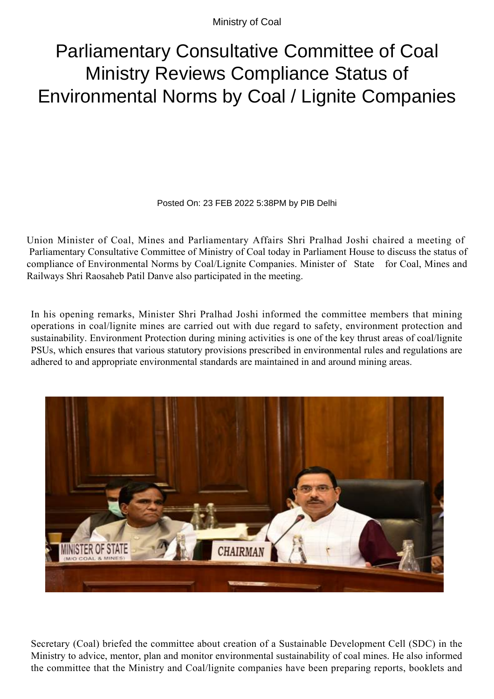Ministry of Coal

## Parliamentary Consultative Committee of Coal Ministry Reviews Compliance Status of Environmental Norms by Coal / Lignite Companies

Posted On: 23 FEB 2022 5:38PM by PIB Delhi

Union Minister of Coal, Mines and Parliamentary Affairs Shri Pralhad Joshi chaired a meeting of Parliamentary Consultative Committee of Ministry of Coal today in Parliament House to discuss the status of compliance of Environmental Norms by Coal/Lignite Companies. Minister of State for Coal, Mines and Railways Shri Raosaheb Patil Danve also participated in the meeting.

In his opening remarks, Minister Shri Pralhad Joshi informed the committee members that mining operations in coal/lignite mines are carried out with due regard to safety, environment protection and sustainability. Environment Protection during mining activities is one of the key thrust areas of coal/lignite PSUs, which ensures that various statutory provisions prescribed in environmental rules and regulations are adhered to and appropriate environmental standards are maintained in and around mining areas.



Secretary (Coal) briefed the committee about creation of a Sustainable Development Cell (SDC) in the Ministry to advice, mentor, plan and monitor environmental sustainability of coal mines. He also informed the committee that the Ministry and Coal/lignite companies have been preparing reports, booklets and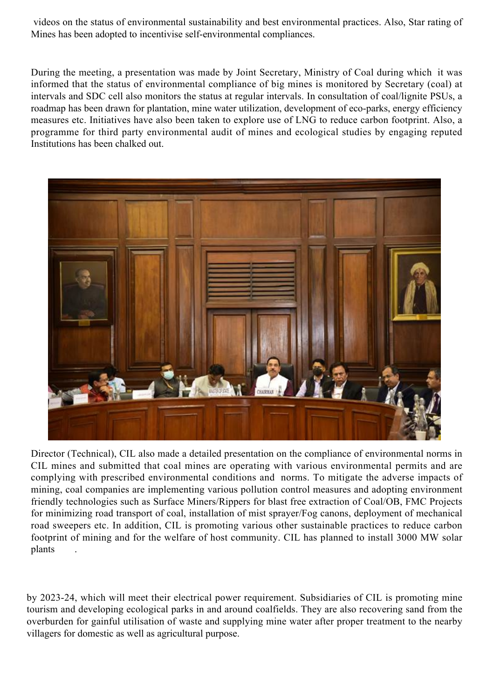videos on the status of environmental sustainability and best environmental practices. Also, Star rating of Mines has been adopted to incentivise self-environmental compliances.

During the meeting, a presentation was made by Joint Secretary, Ministry of Coal during which it was informed that the status of environmental compliance of big mines is monitored by Secretary (coal) at intervals and SDC cell also monitors the status at regular intervals. In consultation of coal/lignite PSUs, a roadmap has been drawn for plantation, mine water utilization, development of eco-parks, energy efficiency measures etc. Initiatives have also been taken to explore use of LNG to reduce carbon footprint. Also, a programme for third party environmental audit of mines and ecological studies by engaging reputed Institutions has been chalked out.



Director (Technical), CIL also made a detailed presentation on the compliance of environmental norms in CIL mines and submitted that coal mines are operating with various environmental permits and are complying with prescribed environmental conditions and norms. To mitigate the adverse impacts of mining, coal companies are implementing various pollution control measures and adopting environment friendly technologies such as Surface Miners/Rippers for blast free extraction of Coal/OB, FMC Projects for minimizing road transport of coal, installation of mist sprayer/Fog canons, deployment of mechanical road sweepers etc. In addition, CIL is promoting various other sustainable practices to reduce carbon footprint of mining and for the welfare of host community. CIL has planned to install 3000 MW solar plants .

by 2023-24, which will meet their electrical power requirement. Subsidiaries of CIL is promoting mine tourism and developing ecological parks in and around coalfields. They are also recovering sand from the overburden for gainful utilisation of waste and supplying mine water after proper treatment to the nearby villagers for domestic as well as agricultural purpose.